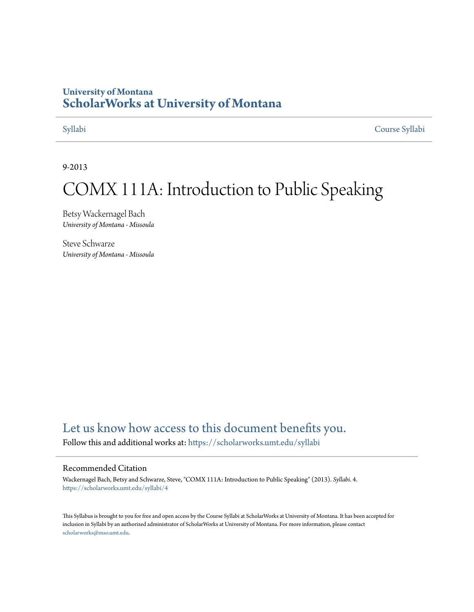#### **University of Montana [ScholarWorks at University of Montana](https://scholarworks.umt.edu?utm_source=scholarworks.umt.edu%2Fsyllabi%2F4&utm_medium=PDF&utm_campaign=PDFCoverPages)**

[Syllabi](https://scholarworks.umt.edu/syllabi?utm_source=scholarworks.umt.edu%2Fsyllabi%2F4&utm_medium=PDF&utm_campaign=PDFCoverPages) [Course Syllabi](https://scholarworks.umt.edu/course_syllabi?utm_source=scholarworks.umt.edu%2Fsyllabi%2F4&utm_medium=PDF&utm_campaign=PDFCoverPages)

9-2013

# COMX 111A: Introduction to Public Speaking

Betsy Wackernagel Bach *University of Montana - Missoula*

Steve Schwarze *University of Montana - Missoula*

### [Let us know how access to this document benefits you.](https://goo.gl/forms/s2rGfXOLzz71qgsB2)

Follow this and additional works at: [https://scholarworks.umt.edu/syllabi](https://scholarworks.umt.edu/syllabi?utm_source=scholarworks.umt.edu%2Fsyllabi%2F4&utm_medium=PDF&utm_campaign=PDFCoverPages)

#### Recommended Citation

Wackernagel Bach, Betsy and Schwarze, Steve, "COMX 111A: Introduction to Public Speaking" (2013). *Syllabi*. 4. [https://scholarworks.umt.edu/syllabi/4](https://scholarworks.umt.edu/syllabi/4?utm_source=scholarworks.umt.edu%2Fsyllabi%2F4&utm_medium=PDF&utm_campaign=PDFCoverPages)

This Syllabus is brought to you for free and open access by the Course Syllabi at ScholarWorks at University of Montana. It has been accepted for inclusion in Syllabi by an authorized administrator of ScholarWorks at University of Montana. For more information, please contact [scholarworks@mso.umt.edu](mailto:scholarworks@mso.umt.edu).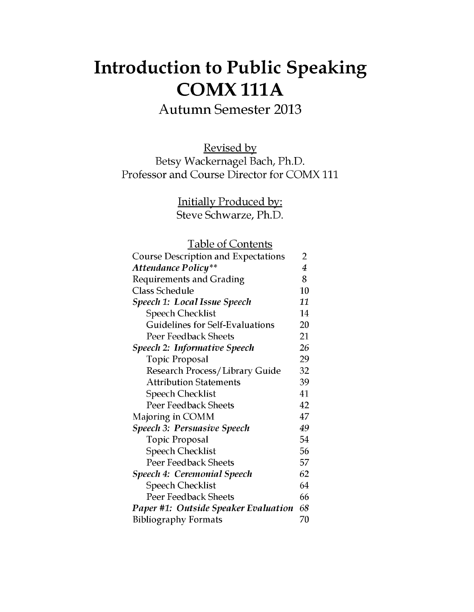# **Introduction to Public Speaking COMX111A**

**Autumn Semester 2013**

Revised by Betsy Wackernagel Bach, Ph.D. Professor and Course Director for COMX 111

> Initially Produced by: Steve Schwarze, Ph.D.

Table of Contents

| <b>Course Description and Expectations</b>  | 2  |
|---------------------------------------------|----|
| <b>Attendance Policy**</b>                  | 4  |
| <b>Requirements and Grading</b>             | 8  |
| <b>Class Schedule</b>                       | 10 |
| Speech 1: Local Issue Speech                | 11 |
| <b>Speech Checklist</b>                     | 14 |
| <b>Guidelines for Self-Evaluations</b>      | 20 |
| Peer Feedback Sheets                        | 21 |
| <b>Speech 2: Informative Speech</b>         | 26 |
| <b>Topic Proposal</b>                       | 29 |
| <b>Research Process/Library Guide</b>       | 32 |
| <b>Attribution Statements</b>               | 39 |
| <b>Speech Checklist</b>                     | 41 |
| <b>Peer Feedback Sheets</b>                 | 42 |
| Majoring in COMM                            | 47 |
| <b>Speech 3: Persuasive Speech</b>          | 49 |
| Topic Proposal                              | 54 |
| <b>Speech Checklist</b>                     | 56 |
| <b>Peer Feedback Sheets</b>                 | 57 |
| <b>Speech 4: Ceremonial Speech</b>          | 62 |
| <b>Speech Checklist</b>                     | 64 |
| Peer Feedback Sheets                        | 66 |
| <b>Paper #1: Outside Speaker Evaluation</b> | 68 |
| <b>Bibliography Formats</b>                 | 70 |
|                                             |    |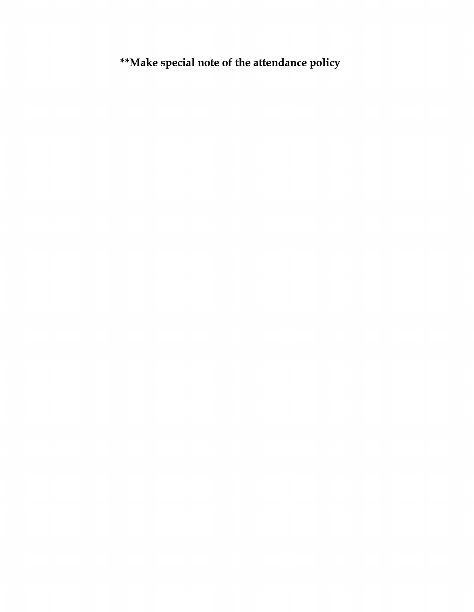**\*\*Make special note of the attendance policy**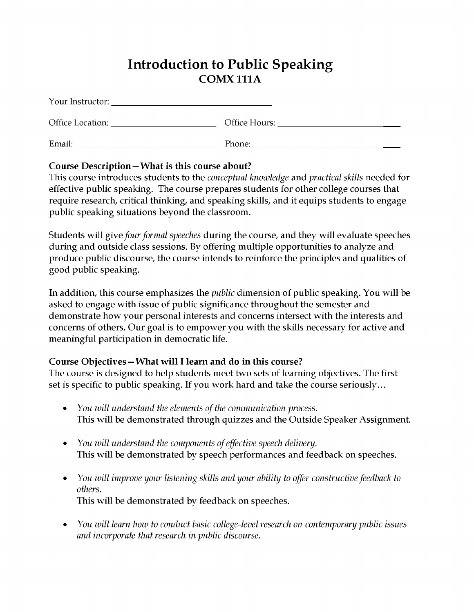## **Introduction to Public Speaking COMX 111A**

| Your Instructor: |  |
|------------------|--|
|                  |  |

Office Location: Office H ours:\_\_\_\_\_\_\_\_\_\_\_\_\_\_\_\_\_\_\_\_\_\_\_\_\_\_\_\_\_

| $\mathbf{r}$<br>- -<br>Email:<br>_____ | --<br>rnone: |
|----------------------------------------|--------------|
|                                        |              |

#### **Course Description—What is this course about?**

This course introduces students to the *conceptual knowledge* and *practical skills* needed for effective public speaking. The course prepares students for other college courses that require research, critical thinking, and speaking skills, and it equips students to engage public speaking situations beyond the classroom.

Students will *give four formal speeches* during the course, and they will evaluate speeches during and outside class sessions. By offering multiple opportunities to analyze and produce public discourse, the course intends to reinforce the principles and qualities of good public speaking.

In addition, this course emphasizes the *public* dimension of public speaking. You will be asked to engage with issue of public significance throughout the semester and demonstrate how your personal interests and concerns intersect with the interests and concerns of others. Our goal is to empower you with the skills necessary for active and meaningful participation in democratic life.

#### Course Objectives – What will I learn and do in this course?

The course is designed to help students meet two sets of learning objectives. The first set is specific to public speaking. If you work hard and take the course seriously...

- *You will understand the elements of the communication process.* This will be demonstrated through quizzes and the Outside Speaker Assignment.
- *You will understand the components of effective speech delivery.* This will be demonstrated by speech performances and feedback on speeches.
- *You will improve your listening skills and your ability to offer constructive feedback to others.* This will be demonstrated by feedback on speeches.
- *You will learn how to conduct basic college-level research on contemporary public issues and incorporate that research in public discourse.*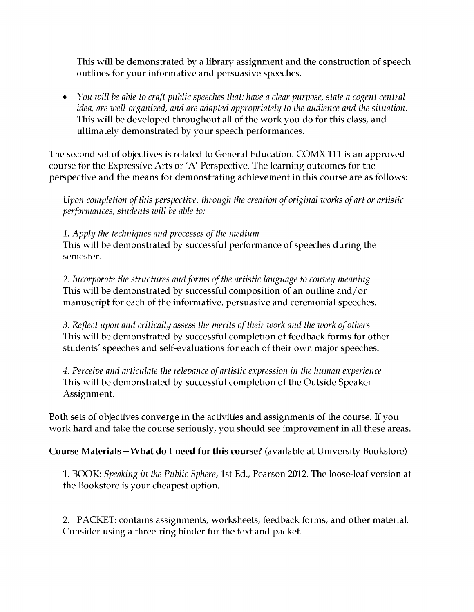This will be demonstrated by a library assignment and the construction of speech outlines for your informative and persuasive speeches.

• *You will be able to craft public speeches that: have a clear purpose, state a cogent central idea, are well-organized, and are adapted appropriately to the audience and the situation.* This will be developed throughout all of the work you do for this class, and ultimately demonstrated by your speech performances.

The second set of objectives is related to General Education. COMX 111 is an approved course for the Expressive Arts or 'A' Perspective. The learning outcomes for the perspective and the means for demonstrating achievement in this course are as follows:

*Upon completion of this perspective, through the creation of original works of art or artistic performances, students will be able to:*

*1. Apply the techniques and processes of the medium*

This will be demonstrated by successful performance of speeches during the semester.

2. *Incorporate the structures and forms of the artistic language to convey meaning* This will be demonstrated by successful composition of an outline and/or manuscript for each of the informative, persuasive and ceremonial speeches.

3. *Reflect upon and critically assess the merits of their work and the work of others* This will be demonstrated by successful completion of feedback forms for other students' speeches and self-evaluations for each of their own major speeches.

4. *Perceive and articulate the relevance of artistic expression in the human experience* This will be demonstrated by successful completion of the Outside Speaker Assignment.

Both sets of objectives converge in the activities and assignments of the course. If you work hard and take the course seriously, you should see improvement in all these areas.

Course Materials—What do I need for this course? (available at University Bookstore)

1. BOOK: *Speaking in the Public Sphere,* 1st Ed., Pearson 2012. The loose-leaf version at the Bookstore is your cheapest option.

2. PACKET: contains assignments, worksheets, feedback forms, and other material. Consider using a three-ring binder for the text and packet.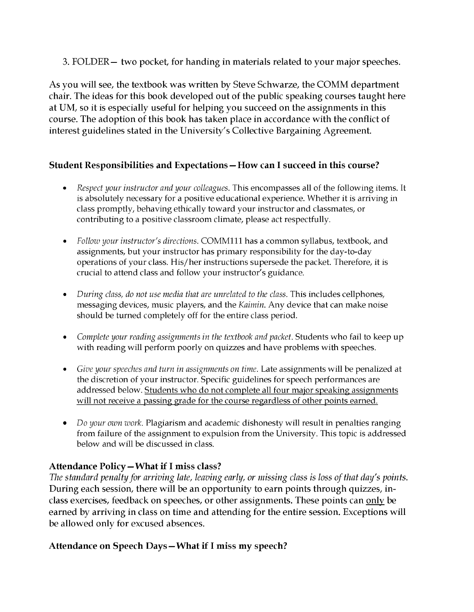3. FOLDER— two pocket, for handing in materials related to your major speeches.

As you will see, the textbook was written by Steve Schwarze, the COMM department chair. The ideas for this book developed out of the public speaking courses taught here at UM, so it is especially useful for helping you succeed on the assignments in this course. The adoption of this book has taken place in accordance with the conflict of interest guidelines stated in the University's Collective Bargaining Agreement.

#### **Student Responsibilities and Expectations — How can I succeed in this course?**

- *Respect your instructor and your colleagues.* This encompasses all of the following items. It is absolutely necessary for a positive educational experience. Whether it is arriving in class promptly, behaving ethically toward your instructor and classmates, or contributing to a positive classroom climate, please act respectfully.
- *Follow your instructor's directions.* COMM111 has a common syllabus, textbook, and assignments, but your instructor has primary responsibility for the day-to-day operations of your class. His/her instructions supersede the packet. Therefore, it is crucial to attend class and follow your instructor's guidance.
- *During class, do not use media that are unrelated to the class.* This includes cellphones, messaging devices, music players, and the *Kaimin.* Any device that can make noise should be turned completely off for the entire class period.
- *Complete your reading assignments in the textbook and packet.* Students who fail to keep up with reading will perform poorly on quizzes and have problems with speeches.
- *Give your speeches and turn in assignments on time.* Late assignments will be penalized at the discretion of your instructor. Specific guidelines for speech performances are addressed below. Students who do not complete all four major speaking assignments will not receive a passing grade for the course regardless of other points earned.
- *Do your own work*. Plagiarism and academic dishonesty will result in penalties ranging from failure of the assignment to expulsion from the University. This topic is addressed below and will be discussed in class.

#### **Attendance Policy—What if I miss class?**

*The standard penalty for arriving late, leaving early, or missing class is loss of that day's points.* During each session, there will be an opportunity to earn points through quizzes, inclass exercises, feedback on speeches, or other assignments. These points can only be earned by arriving in class on time and attending for the entire session. Exceptions will be allowed only for excused absences.

#### **Attendance on Speech Days—What if I miss my speech?**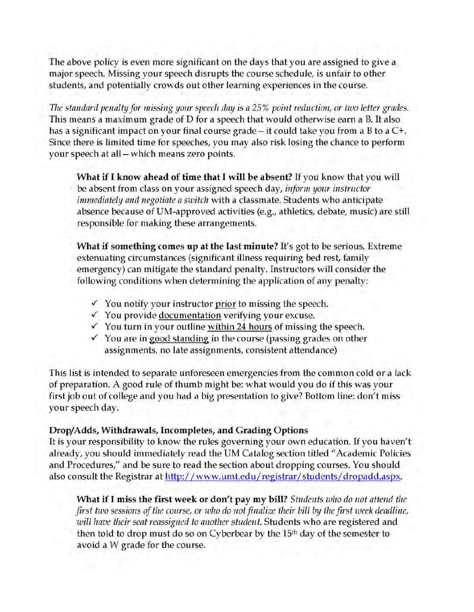The above policy is even more significant on the days that you are assigned to give a major speech. Missing your speech disrupts the course schedule, is unfair to other students, and potentially crowds out other learning experiences in the course.

*The standard penalty for missing your speech day is a 25% point reduction, or two letter grades.* This means a maximum grade of D for a speech that would otherwise earn a B. It also has a significant impact on your final course grade - it could take you from a B to a C+. Since there is limited time for speeches, you may also risk losing the chance to perform your speech at all—which means zero points.

**What if I know ahead of time that I will be absent?** If you know that you will be absent from class on your assigned speech day, *inform your instructor immediately and negotiate a switch* with a classmate. Students who anticipate absence because of UM-approved activities (e.g., athletics, debate, music) are still responsible for making these arrangements.

**What if something comes up at the last minute?** It's got to be serious. Extreme extenuating circumstances (significant illness requiring bed rest, family emergency) can mitigate the standard penalty. Instructors will consider the following conditions when determining the application of any penalty:

- $\checkmark$  You notify your instructor prior to missing the speech.
- *S* You provide documentation verifying your excuse.
- *S* You turn in your outline within 24 hours of missing the speech.
- *S* You are in good standing in the course (passing grades on other assignments, no late assignments, consistent attendance)

This list is intended to separate unforeseen emergencies from the common cold or a lack of preparation. A good rule of thumb might be: what would you do if this was your first job out of college and you had a big presentation to give? Bottom line: don't miss your speech day.

#### **Drop/Adds, Withdrawals, Incompletes, and Grading Options**

It is your responsibility to know the rules governing your own education. If you haven't already, you should immediately read the UM Catalog section titled "Academic Policies and Procedures," and be sure to read the section about dropping courses. You should also consult the Registrar at http://www.umt.edu/registrar/students/dropadd.aspx.

**What if I miss the first week or don't pay my bill?** *Students who do not attend the first two sessions of the course, or who do not finalize their bill by the first week deadline, will have their seat reassigned to another student.* Students who are registered and then told to drop must do so on Cyberbear by the 15<sup>th</sup> day of the semester to avoid a W grade for the course.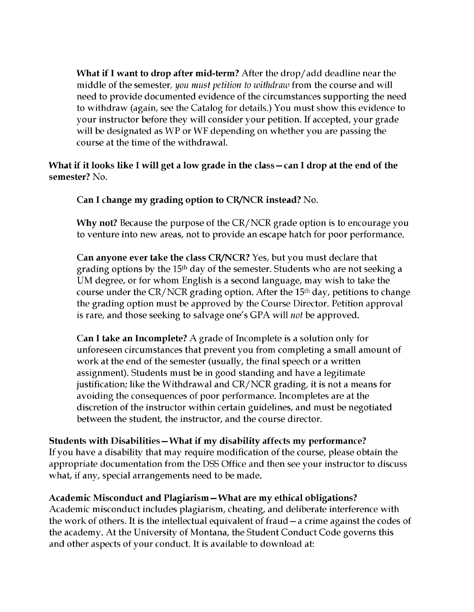**What if I want to drop after mid-term?** After the drop/add deadline near the middle of the semester, *you must petition to withdraw* from the course and will need to provide documented evidence of the circumstances supporting the need to withdraw (again, see the Catalog for details.) You must show this evidence to your instructor before they will consider your petition. If accepted, your grade will be designated as WP or WF depending on whether you are passing the course at the time of the withdrawal.

What if it looks like I will get a low grade in the class – can I drop at the end of the **semester?** No.

**Can I change my grading option to CR/NCR instead?** No.

**Why not?** Because the purpose of the CR/NCR grade option is to encourage you to venture into new areas, not to provide an escape hatch for poor performance.

**Can anyone ever take the class CR/NCR?** Yes, but you must declare that grading options by the 15<sup>th</sup> day of the semester. Students who are not seeking a UM degree, or for whom English is a second language, may wish to take the course under the CR/NCR grading option. After the 15<sup>th</sup> day, petitions to change the grading option must be approved by the Course Director. Petition approval is rare, and those seeking to salvage one's GPA will *not* be approved.

**Can I take an Incomplete?** A grade of Incomplete is a solution only for unforeseen circumstances that prevent you from completing a small amount of work at the end of the semester (usually, the final speech or a written assignment). Students must be in good standing and have a legitimate justification; like the Withdrawal and CR/NCR grading, it is not a means for avoiding the consequences of poor performance. Incompletes are at the discretion of the instructor within certain guidelines, and must be negotiated between the student, the instructor, and the course director.

**Students with Disabilities—What if my disability affects my performance?**

If you have a disability that may require modification of the course, please obtain the appropriate documentation from the DSS Office and then see your instructor to discuss what, if any, special arrangements need to be made.

#### **Academic Misconduct and Plagiarism—What are my ethical obligations?**

Academic misconduct includes plagiarism, cheating, and deliberate interference with the work of others. It is the intellectual equivalent of fraud—a crime against the codes of the academy. At the University of Montana, the Student Conduct Code governs this and other aspects of your conduct. It is available to download at: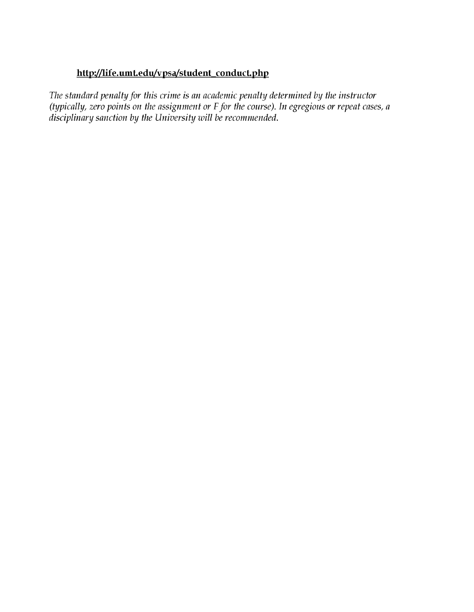#### **http://jife.umt.edu/vpsa/student conduct.php**

*The standard penalty for this crime is an academic penalty determined by the instructor (typically, zero points on the assignment or F for the course). In egregious or repeat cases, a disciplinary sanction by the University will be recommended.*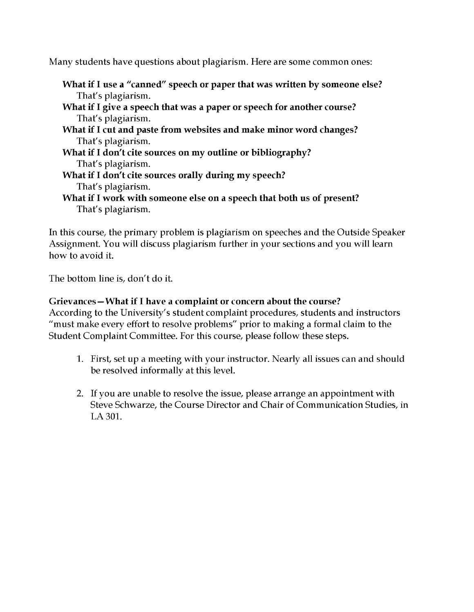Many students have questions about plagiarism. Here are some common ones:

- **What if** I **use a "canned" speech or paper that was written by someone else?** That's plagiarism.
- **What if** I **give a speech that was a paper or speech for another course?** That's plagiarism.
- **What if** I **cut and paste from websites and make minor word changes?** That's plagiarism.
- **What if** I **don't cite sources on my outline or bibliography?** That's plagiarism.
- **What if** I **don't cite sources orally during my speech?** That's plagiarism.
- **What if** I **work with someone else on a speech that both us of present?** That's plagiarism.

In this course, the primary problem is plagiarism on speeches and the Outside Speaker Assignment. You will discuss plagiarism further in your sections and you will learn how to avoid it.

The bottom line is, don't do it.

#### **Grievances—What if** I **have a complaint or concern about the course?**

According to the University's student complaint procedures, students and instructors "must make every effort to resolve problems" prior to making a formal claim to the Student Complaint Committee. For this course, please follow these steps.

- 1. First, set up a meeting with your instructor. Nearly all issues can and should be resolved informally at this level.
- 2. If you are unable to resolve the issue, please arrange an appointment with Steve Schwarze, the Course Director and Chair of Communication Studies, in LA 301.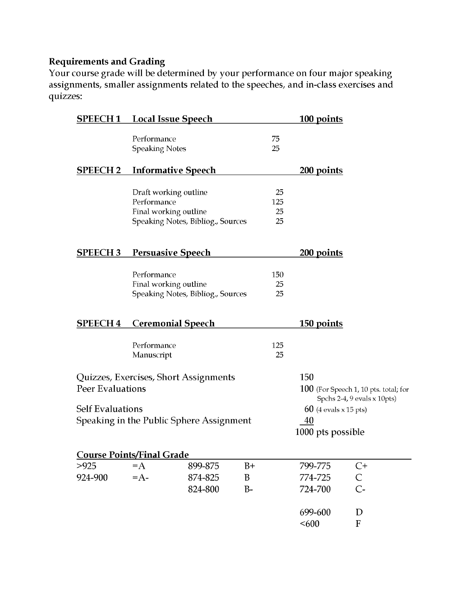#### **Requirements and Grading**

Your course grade will be determined by your performance on four major speaking assignments, smaller assignments related to the speeches, and in-class exercises and quizzes:

| <b>SPEECH1</b>          | <b>Local Issue Speech</b>                                     |                                          |                   |                       | 100 points                                         |                                         |
|-------------------------|---------------------------------------------------------------|------------------------------------------|-------------------|-----------------------|----------------------------------------------------|-----------------------------------------|
|                         | Performance<br><b>Speaking Notes</b>                          |                                          |                   | 75<br>25              |                                                    |                                         |
| <b>SPEECH2</b>          | <b>Informative Speech</b>                                     |                                          |                   |                       | 200 points                                         |                                         |
|                         | Draft working outline<br>Performance<br>Final working outline | Speaking Notes, Bibliog., Sources        |                   | 25<br>125<br>25<br>25 |                                                    |                                         |
| <b>SPEECH3</b>          | <b>Persuasive Speech</b>                                      |                                          |                   |                       | 200 points                                         |                                         |
|                         | Performance<br>Final working outline                          | Speaking Notes, Bibliog., Sources        |                   | 150<br>25<br>25       |                                                    |                                         |
| <b>SPEECH4</b>          | <b>Ceremonial Speech</b>                                      |                                          |                   |                       | <u>150 points</u>                                  |                                         |
|                         | Performance<br>Manuscript                                     |                                          |                   | 125<br>25             |                                                    |                                         |
| <b>Peer Evaluations</b> | Quizzes, Exercises, Short Assignments                         |                                          |                   |                       | 150                                                | $100$ (For Speech 1, 10 pts. total; for |
| <b>Self Evaluations</b> |                                                               | Speaking in the Public Sphere Assignment |                   |                       | $60$ (4 evals x 15 pts)<br>40<br>1000 pts possible | Spchs 2-4, 9 evals x 10pts)             |
|                         | <b>Course Points/Final Grade</b>                              |                                          |                   |                       |                                                    |                                         |
| >925<br>924-900         | $=A$<br>$=A$ -                                                | 899-875<br>874-825<br>824-800            | $B+$<br>B<br>$B-$ |                       | 799-775<br>774-725<br>724-700                      | $C+$<br>$\mathsf{C}$<br>$C -$           |
|                         |                                                               |                                          |                   |                       | 699-600<br>< 600                                   | D<br>$\mathbf{F}$                       |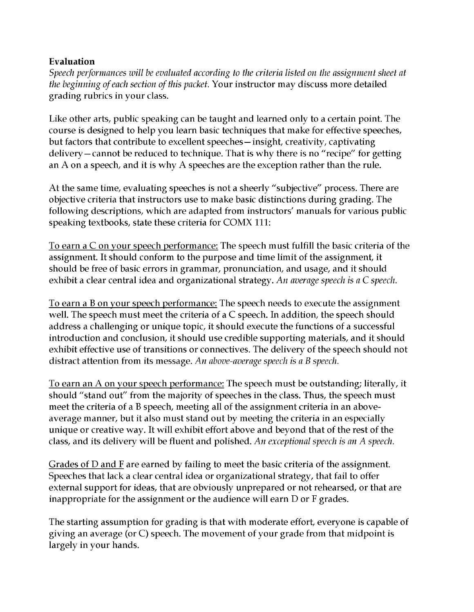#### **Evaluation**

*Speech performances will be evaluated according to the criteria listed on the assignment sheet at the beginning of each section of this packet.* Your instructor may discuss more detailed grading rubrics in your class.

Like other arts, public speaking can be taught and learned only to a certain point. The course is designed to help you learn basic techniques that make for effective speeches, but factors that contribute to excellent speeches—insight, creativity, captivating delivery—cannot be reduced to technique. That is why there is no "recipe" for getting an A on a speech, and it is why A speeches are the exception rather than the rule.

At the same time, evaluating speeches is not a sheerly "subjective" process. There are objective criteria that instructors use to make basic distinctions during grading. The following descriptions, which are adapted from instructors' manuals for various public speaking textbooks, state these criteria for COMX 111:

To earn a C on your speech performance: The speech must fulfill the basic criteria of the assignment. It should conform to the purpose and time limit of the assignment, it should be free of basic errors in grammar, pronunciation, and usage, and it should exhibit a clear central idea and organizational strategy. *An average speech is a C speech.*

To earn a B on your speech performance: The speech needs to execute the assignment well. The speech must meet the criteria of a C speech. In addition, the speech should address a challenging or unique topic, it should execute the functions of a successful introduction and conclusion, it should use credible supporting materials, and it should exhibit effective use of transitions or connectives. The delivery of the speech should not distract attention from its message. *An above-average speech is a B speech.*

To earn an A on your speech performance: The speech m ust be outstanding; literally, it should "stand out" from the majority of speeches in the class. Thus, the speech must meet the criteria of a B speech, meeting all of the assignment criteria in an aboveaverage manner, but it also must stand out by meeting the criteria in an especially unique or creative way. It will exhibit effort above and beyond that of the rest of the class, and its delivery will be fluent and polished. *An exceptional speech is an* A *speech.*

Grades of  $D$  and  $F$  are earned by failing to meet the basic criteria of the assignment. Speeches that lack a clear central idea or organizational strategy, that fail to offer external support for ideas, that are obviously unprepared or not rehearsed, or that are inappropriate for the assignment or the audience will earn D or F grades.

The starting assumption for grading is that with moderate effort, everyone is capable of giving an average (or C) speech. The movement of your grade from that midpoint is largely in your hands.